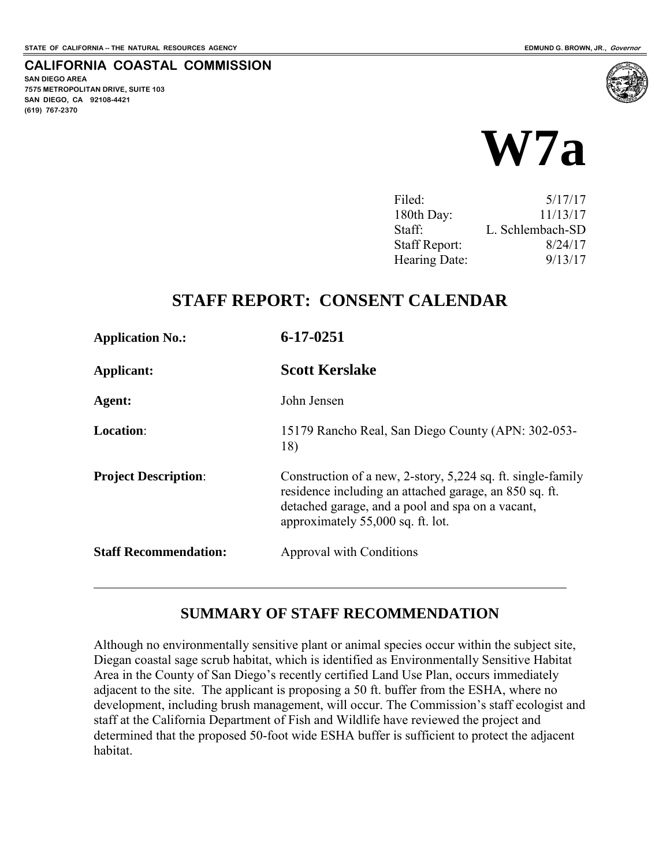**SAN DIEGO AREA** 

**(619) 767-2370**

**7575 METROPOLITAN DRIVE, SUITE 103 SAN DIEGO, CA 92108-4421**

**CALIFORNIA COASTAL COMMISSION** 



| 5/17/17          |
|------------------|
| 11/13/17         |
| L. Schlembach-SD |
| 8/24/17          |
| 9/13/17          |
|                  |

# **STAFF REPORT: CONSENT CALENDAR**

| <b>Application No.:</b>      | $6 - 17 - 0251$                                                                                                                                                                                                |
|------------------------------|----------------------------------------------------------------------------------------------------------------------------------------------------------------------------------------------------------------|
| Applicant:                   | <b>Scott Kerslake</b>                                                                                                                                                                                          |
| Agent:                       | John Jensen                                                                                                                                                                                                    |
| <b>Location:</b>             | 15179 Rancho Real, San Diego County (APN: 302-053-<br>18)                                                                                                                                                      |
| <b>Project Description:</b>  | Construction of a new, 2-story, 5,224 sq. ft. single-family<br>residence including an attached garage, an 850 sq. ft.<br>detached garage, and a pool and spa on a vacant,<br>approximately 55,000 sq. ft. lot. |
| <b>Staff Recommendation:</b> | Approval with Conditions                                                                                                                                                                                       |

### **SUMMARY OF STAFF RECOMMENDATION**

Although no environmentally sensitive plant or animal species occur within the subject site, Diegan coastal sage scrub habitat, which is identified as Environmentally Sensitive Habitat Area in the County of San Diego's recently certified Land Use Plan, occurs immediately adjacent to the site. The applicant is proposing a 50 ft. buffer from the ESHA, where no development, including brush management, will occur. The Commission's staff ecologist and staff at the California Department of Fish and Wildlife have reviewed the project and determined that the proposed 50-foot wide ESHA buffer is sufficient to protect the adjacent habitat.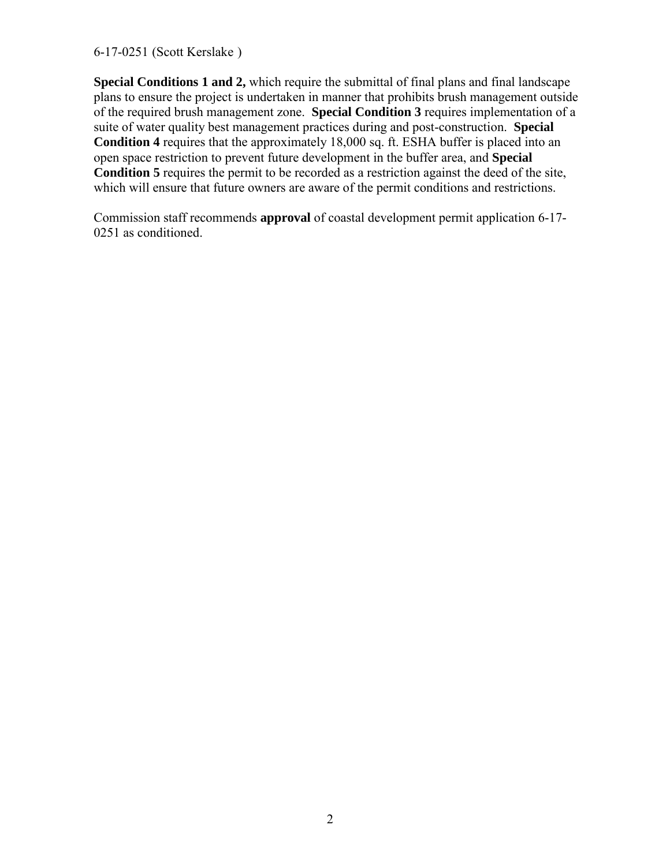6-17-0251 (Scott Kerslake )

**Special Conditions 1 and 2,** which require the submittal of final plans and final landscape plans to ensure the project is undertaken in manner that prohibits brush management outside of the required brush management zone. **Special Condition 3** requires implementation of a suite of water quality best management practices during and post-construction. **Special Condition 4** requires that the approximately 18,000 sq. ft. ESHA buffer is placed into an open space restriction to prevent future development in the buffer area, and **Special Condition 5** requires the permit to be recorded as a restriction against the deed of the site, which will ensure that future owners are aware of the permit conditions and restrictions.

Commission staff recommends **approval** of coastal development permit application 6-17- 0251 as conditioned.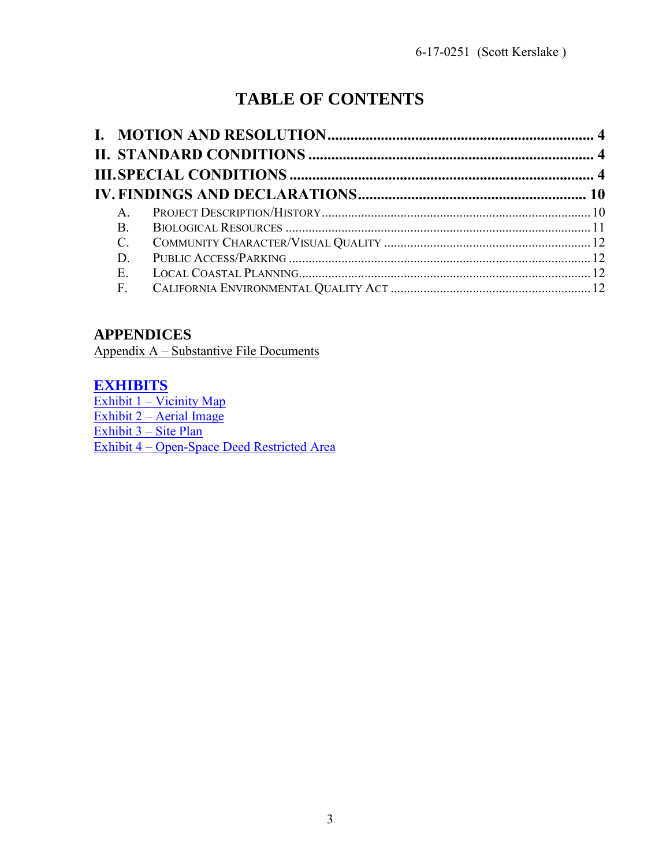# **TABLE OF CONTENTS**

| $\mathsf{A}$    |  |
|-----------------|--|
| <b>B</b> .      |  |
| $\mathcal{C}$ . |  |
| D               |  |
| E.              |  |
| F.              |  |
|                 |  |

# **APPENDICES**

Appendix A – Substantive File Documents

### **[EXHIBITS](https://documents.coastal.ca.gov/reports/2017/9/w7a/w7a-9-2017-exhibits.pdf)**

Exhibit 1 – Vicinity Map [Exhibit 2 – Aerial Image](https://documents.coastal.ca.gov/reports/2017/9/w7a/w7a-9-2017-exhibits.pdf)  [Exhibit 3 – Site Plan](https://documents.coastal.ca.gov/reports/2017/9/w7a/w7a-9-2017-exhibits.pdf) [Exhibit 4 – Open-Space Deed Restricted Area](https://documents.coastal.ca.gov/reports/2017/9/w7a/w7a-9-2017-exhibits.pdf)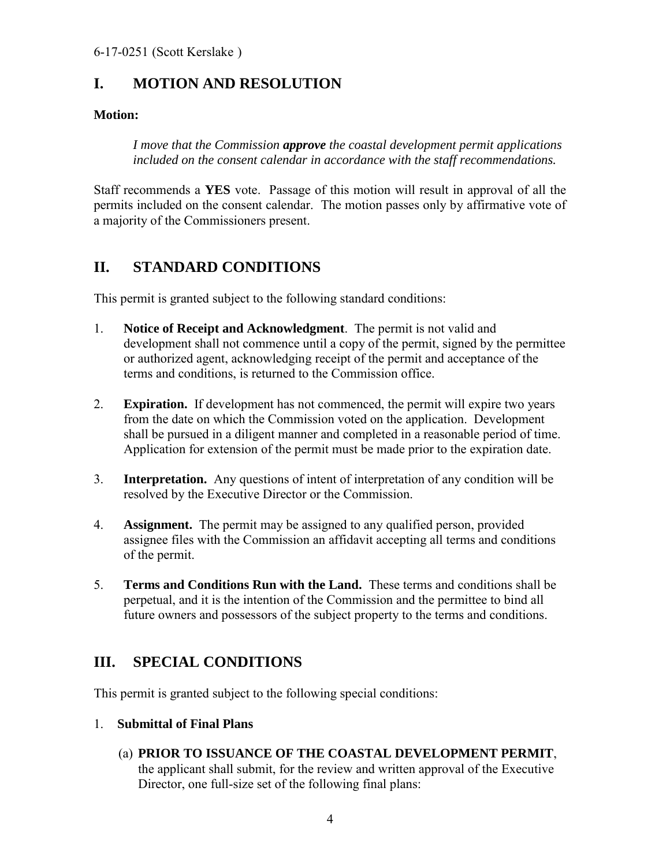# <span id="page-3-0"></span>**I. MOTION AND RESOLUTION**

### **Motion:**

*I move that the Commission approve the coastal development permit applications included on the consent calendar in accordance with the staff recommendations.* 

Staff recommends a **YES** vote. Passage of this motion will result in approval of all the permits included on the consent calendar. The motion passes only by affirmative vote of a majority of the Commissioners present.

# <span id="page-3-1"></span>**II. STANDARD CONDITIONS**

This permit is granted subject to the following standard conditions:

- 1. **Notice of Receipt and Acknowledgment**. The permit is not valid and development shall not commence until a copy of the permit, signed by the permittee or authorized agent, acknowledging receipt of the permit and acceptance of the terms and conditions, is returned to the Commission office.
- 2. **Expiration.** If development has not commenced, the permit will expire two years from the date on which the Commission voted on the application. Development shall be pursued in a diligent manner and completed in a reasonable period of time. Application for extension of the permit must be made prior to the expiration date.
- 3. **Interpretation.** Any questions of intent of interpretation of any condition will be resolved by the Executive Director or the Commission.
- 4. **Assignment.** The permit may be assigned to any qualified person, provided assignee files with the Commission an affidavit accepting all terms and conditions of the permit.
- 5. **Terms and Conditions Run with the Land.** These terms and conditions shall be perpetual, and it is the intention of the Commission and the permittee to bind all future owners and possessors of the subject property to the terms and conditions.

# <span id="page-3-2"></span>**III. SPECIAL CONDITIONS**

This permit is granted subject to the following special conditions:

### 1. **Submittal of Final Plans**

(a) **PRIOR TO ISSUANCE OF THE COASTAL DEVELOPMENT PERMIT**, the applicant shall submit, for the review and written approval of the Executive Director, one full-size set of the following final plans: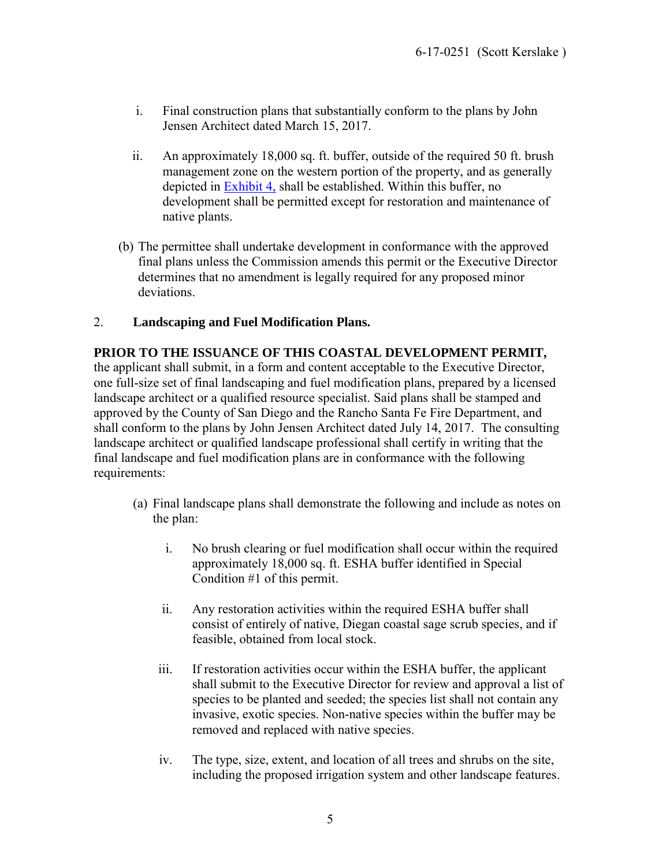- i. Final construction plans that substantially conform to the plans by John Jensen Architect dated March 15, 2017.
- ii. An approximately 18,000 sq. ft. buffer, outside of the required 50 ft. brush management zone on the western portion of the property, and as generally depicted in [Exhibit 4,](https://documents.coastal.ca.gov/reports/2017/9/w7a/w7a-9-2017-exhibits.pdf) shall be established. Within this buffer, no development shall be permitted except for restoration and maintenance of native plants.
- (b) The permittee shall undertake development in conformance with the approved final plans unless the Commission amends this permit or the Executive Director determines that no amendment is legally required for any proposed minor deviations.

### 2. **Landscaping and Fuel Modification Plans.**

#### **PRIOR TO THE ISSUANCE OF THIS COASTAL DEVELOPMENT PERMIT,**

the applicant shall submit, in a form and content acceptable to the Executive Director, one full-size set of final landscaping and fuel modification plans, prepared by a licensed landscape architect or a qualified resource specialist. Said plans shall be stamped and approved by the County of San Diego and the Rancho Santa Fe Fire Department, and shall conform to the plans by John Jensen Architect dated July 14, 2017. The consulting landscape architect or qualified landscape professional shall certify in writing that the final landscape and fuel modification plans are in conformance with the following requirements:

- (a) Final landscape plans shall demonstrate the following and include as notes on the plan:
	- i. No brush clearing or fuel modification shall occur within the required approximately 18,000 sq. ft. ESHA buffer identified in Special Condition #1 of this permit.
	- ii. Any restoration activities within the required ESHA buffer shall consist of entirely of native, Diegan coastal sage scrub species, and if feasible, obtained from local stock.
	- iii. If restoration activities occur within the ESHA buffer, the applicant shall submit to the Executive Director for review and approval a list of species to be planted and seeded; the species list shall not contain any invasive, exotic species. Non-native species within the buffer may be removed and replaced with native species.
	- iv. The type, size, extent, and location of all trees and shrubs on the site, including the proposed irrigation system and other landscape features.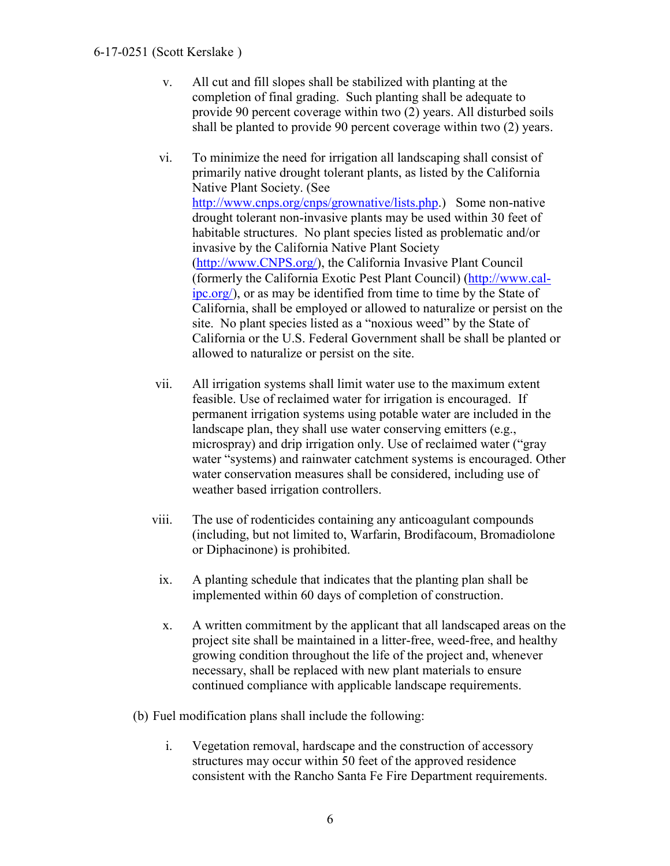#### 6-17-0251 (Scott Kerslake )

- v. All cut and fill slopes shall be stabilized with planting at the completion of final grading. Such planting shall be adequate to provide 90 percent coverage within two (2) years. All disturbed soils shall be planted to provide 90 percent coverage within two (2) years.
- vi. To minimize the need for irrigation all landscaping shall consist of primarily native drought tolerant plants, as listed by the California Native Plant Society. (See [http://www.cnps.org/cnps/grownative/lists.php.](http://www.cnps.org/cnps/grownative/lists.php)) Some non-native drought tolerant non-invasive plants may be used within 30 feet of habitable structures. No plant species listed as problematic and/or invasive by the California Native Plant Society [\(http://www.CNPS.org/\)](http://www.cnps.org/), the California Invasive Plant Council (formerly the California Exotic Pest Plant Council) [\(http://www.cal](http://www.cal-ipc.org/)[ipc.org/\)](http://www.cal-ipc.org/), or as may be identified from time to time by the State of California, shall be employed or allowed to naturalize or persist on the site. No plant species listed as a "noxious weed" by the State of California or the U.S. Federal Government shall be shall be planted or allowed to naturalize or persist on the site.
- vii. All irrigation systems shall limit water use to the maximum extent feasible. Use of reclaimed water for irrigation is encouraged. If permanent irrigation systems using potable water are included in the landscape plan, they shall use water conserving emitters (e.g., microspray) and drip irrigation only. Use of reclaimed water ("gray water "systems) and rainwater catchment systems is encouraged. Other water conservation measures shall be considered, including use of weather based irrigation controllers.
- viii. The use of rodenticides containing any anticoagulant compounds (including, but not limited to, Warfarin, Brodifacoum, Bromadiolone or Diphacinone) is prohibited.
- ix. A planting schedule that indicates that the planting plan shall be implemented within 60 days of completion of construction.
- x. A written commitment by the applicant that all landscaped areas on the project site shall be maintained in a litter-free, weed-free, and healthy growing condition throughout the life of the project and, whenever necessary, shall be replaced with new plant materials to ensure continued compliance with applicable landscape requirements.
- (b) Fuel modification plans shall include the following:
	- i. Vegetation removal, hardscape and the construction of accessory structures may occur within 50 feet of the approved residence consistent with the Rancho Santa Fe Fire Department requirements.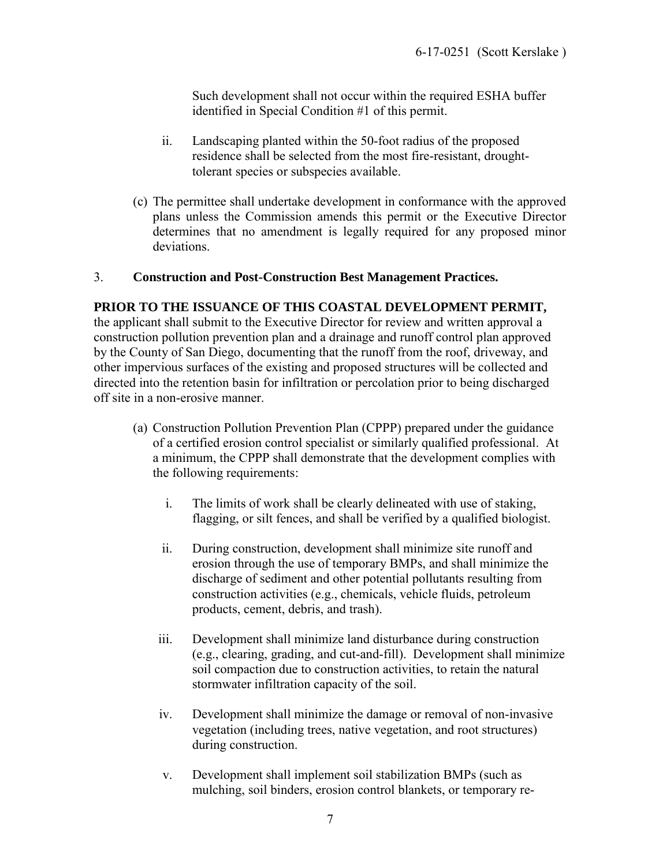Such development shall not occur within the required ESHA buffer identified in Special Condition #1 of this permit.

- ii. Landscaping planted within the 50-foot radius of the proposed residence shall be selected from the most fire-resistant, droughttolerant species or subspecies available.
- (c) The permittee shall undertake development in conformance with the approved plans unless the Commission amends this permit or the Executive Director determines that no amendment is legally required for any proposed minor deviations.

#### 3. **Construction and Post-Construction Best Management Practices.**

#### **PRIOR TO THE ISSUANCE OF THIS COASTAL DEVELOPMENT PERMIT,**

the applicant shall submit to the Executive Director for review and written approval a construction pollution prevention plan and a drainage and runoff control plan approved by the County of San Diego, documenting that the runoff from the roof, driveway, and other impervious surfaces of the existing and proposed structures will be collected and directed into the retention basin for infiltration or percolation prior to being discharged off site in a non-erosive manner.

- (a) Construction Pollution Prevention Plan (CPPP) prepared under the guidance of a certified erosion control specialist or similarly qualified professional. At a minimum, the CPPP shall demonstrate that the development complies with the following requirements:
	- i. The limits of work shall be clearly delineated with use of staking, flagging, or silt fences, and shall be verified by a qualified biologist.
	- ii. During construction, development shall minimize site runoff and erosion through the use of temporary BMPs, and shall minimize the discharge of sediment and other potential pollutants resulting from construction activities (e.g., chemicals, vehicle fluids, petroleum products, cement, debris, and trash).
	- iii. Development shall minimize land disturbance during construction (e.g., clearing, grading, and cut-and-fill). Development shall minimize soil compaction due to construction activities, to retain the natural stormwater infiltration capacity of the soil.
	- iv. Development shall minimize the damage or removal of non-invasive vegetation (including trees, native vegetation, and root structures) during construction.
	- v. Development shall implement soil stabilization BMPs (such as mulching, soil binders, erosion control blankets, or temporary re-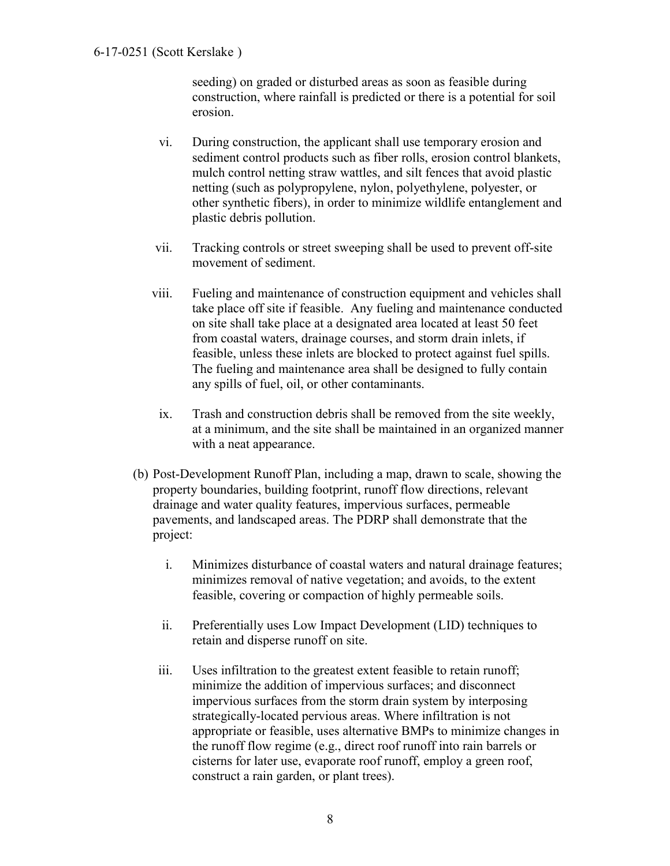seeding) on graded or disturbed areas as soon as feasible during construction, where rainfall is predicted or there is a potential for soil erosion.

- vi. During construction, the applicant shall use temporary erosion and sediment control products such as fiber rolls, erosion control blankets, mulch control netting straw wattles, and silt fences that avoid plastic netting (such as polypropylene, nylon, polyethylene, polyester, or other synthetic fibers), in order to minimize wildlife entanglement and plastic debris pollution.
- vii. Tracking controls or street sweeping shall be used to prevent off-site movement of sediment.
- viii. Fueling and maintenance of construction equipment and vehicles shall take place off site if feasible. Any fueling and maintenance conducted on site shall take place at a designated area located at least 50 feet from coastal waters, drainage courses, and storm drain inlets, if feasible, unless these inlets are blocked to protect against fuel spills. The fueling and maintenance area shall be designed to fully contain any spills of fuel, oil, or other contaminants.
- ix. Trash and construction debris shall be removed from the site weekly, at a minimum, and the site shall be maintained in an organized manner with a neat appearance.
- (b) Post-Development Runoff Plan, including a map, drawn to scale, showing the property boundaries, building footprint, runoff flow directions, relevant drainage and water quality features, impervious surfaces, permeable pavements, and landscaped areas. The PDRP shall demonstrate that the project:
	- i. Minimizes disturbance of coastal waters and natural drainage features; minimizes removal of native vegetation; and avoids, to the extent feasible, covering or compaction of highly permeable soils.
	- ii. Preferentially uses Low Impact Development (LID) techniques to retain and disperse runoff on site.
	- iii. Uses infiltration to the greatest extent feasible to retain runoff; minimize the addition of impervious surfaces; and disconnect impervious surfaces from the storm drain system by interposing strategically-located pervious areas. Where infiltration is not appropriate or feasible, uses alternative BMPs to minimize changes in the runoff flow regime (e.g., direct roof runoff into rain barrels or cisterns for later use, evaporate roof runoff, employ a green roof, construct a rain garden, or plant trees).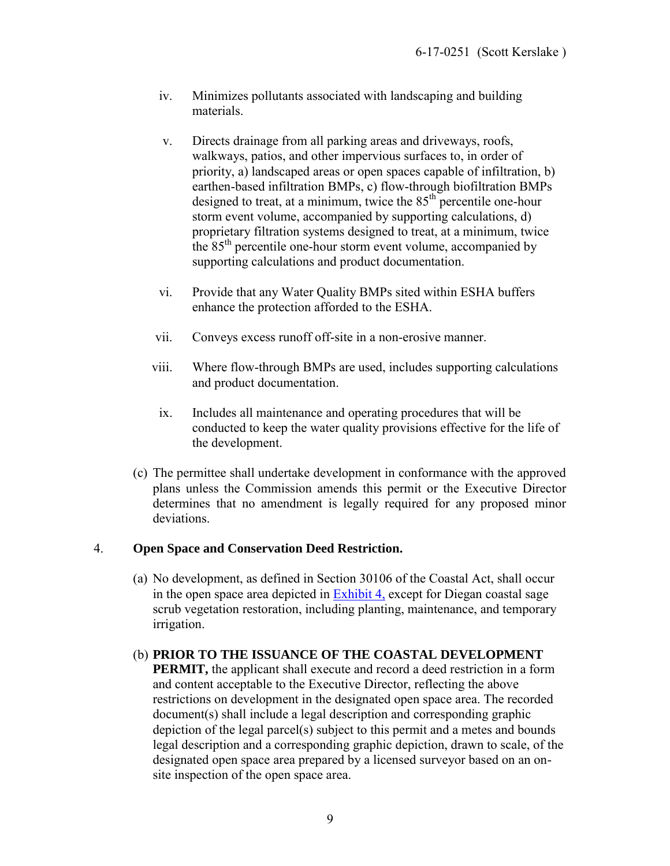- iv. Minimizes pollutants associated with landscaping and building materials.
- v. Directs drainage from all parking areas and driveways, roofs, walkways, patios, and other impervious surfaces to, in order of priority, a) landscaped areas or open spaces capable of infiltration, b) earthen-based infiltration BMPs, c) flow-through biofiltration BMPs designed to treat, at a minimum, twice the 85<sup>th</sup> percentile one-hour storm event volume, accompanied by supporting calculations, d) proprietary filtration systems designed to treat, at a minimum, twice the 85<sup>th</sup> percentile one-hour storm event volume, accompanied by supporting calculations and product documentation.
- vi. Provide that any Water Quality BMPs sited within ESHA buffers enhance the protection afforded to the ESHA.
- vii. Conveys excess runoff off-site in a non-erosive manner.
- viii. Where flow-through BMPs are used, includes supporting calculations and product documentation.
- ix. Includes all maintenance and operating procedures that will be conducted to keep the water quality provisions effective for the life of the development.
- (c) The permittee shall undertake development in conformance with the approved plans unless the Commission amends this permit or the Executive Director determines that no amendment is legally required for any proposed minor deviations.

### 4. **Open Space and Conservation Deed Restriction.**

(a) No development, as defined in Section 30106 of the Coastal Act, shall occur in the open space area depicted in [Exhibit 4,](https://documents.coastal.ca.gov/reports/2017/9/w7a/w7a-9-2017-exhibits.pdf) except for Diegan coastal sage scrub vegetation restoration, including planting, maintenance, and temporary irrigation.

#### (b) **PRIOR TO THE ISSUANCE OF THE COASTAL DEVELOPMENT**

**PERMIT,** the applicant shall execute and record a deed restriction in a form and content acceptable to the Executive Director, reflecting the above restrictions on development in the designated open space area. The recorded document(s) shall include a legal description and corresponding graphic depiction of the legal parcel(s) subject to this permit and a metes and bounds legal description and a corresponding graphic depiction, drawn to scale, of the designated open space area prepared by a licensed surveyor based on an onsite inspection of the open space area.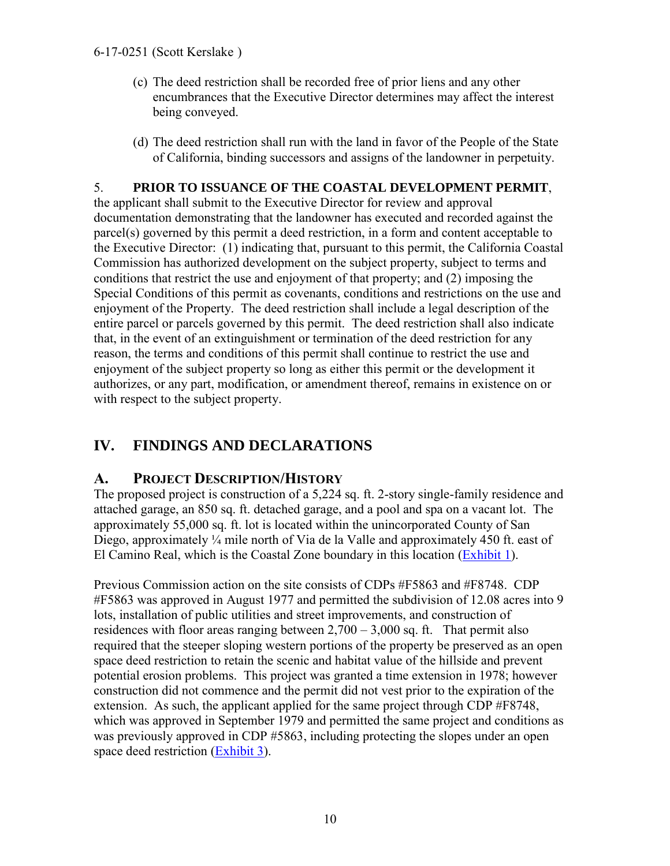#### 6-17-0251 (Scott Kerslake )

- (c) The deed restriction shall be recorded free of prior liens and any other encumbrances that the Executive Director determines may affect the interest being conveyed.
- (d) The deed restriction shall run with the land in favor of the People of the State of California, binding successors and assigns of the landowner in perpetuity.

### 5. **PRIOR TO ISSUANCE OF THE COASTAL DEVELOPMENT PERMIT**,

the applicant shall submit to the Executive Director for review and approval documentation demonstrating that the landowner has executed and recorded against the parcel(s) governed by this permit a deed restriction, in a form and content acceptable to the Executive Director: (1) indicating that, pursuant to this permit, the California Coastal Commission has authorized development on the subject property, subject to terms and conditions that restrict the use and enjoyment of that property; and (2) imposing the Special Conditions of this permit as covenants, conditions and restrictions on the use and enjoyment of the Property. The deed restriction shall include a legal description of the entire parcel or parcels governed by this permit. The deed restriction shall also indicate that, in the event of an extinguishment or termination of the deed restriction for any reason, the terms and conditions of this permit shall continue to restrict the use and enjoyment of the subject property so long as either this permit or the development it authorizes, or any part, modification, or amendment thereof, remains in existence on or with respect to the subject property.

# <span id="page-9-0"></span>**IV. FINDINGS AND DECLARATIONS**

### <span id="page-9-1"></span>**A. PROJECT DESCRIPTION/HISTORY**

The proposed project is construction of a 5,224 sq. ft. 2-story single-family residence and attached garage, an 850 sq. ft. detached garage, and a pool and spa on a vacant lot. The approximately 55,000 sq. ft. lot is located within the unincorporated County of San Diego, approximately ¼ mile north of Via de la Valle and approximately 450 ft. east of El Camino Real, which is the Coastal Zone boundary in this location [\(Exhibit 1\)](https://documents.coastal.ca.gov/reports/2017/9/w7a/w7a-9-2017-exhibits.pdf).

Previous Commission action on the site consists of CDPs #F5863 and #F8748. CDP #F5863 was approved in August 1977 and permitted the subdivision of 12.08 acres into 9 lots, installation of public utilities and street improvements, and construction of residences with floor areas ranging between  $2,700 - 3,000$  sq. ft. That permit also required that the steeper sloping western portions of the property be preserved as an open space deed restriction to retain the scenic and habitat value of the hillside and prevent potential erosion problems. This project was granted a time extension in 1978; however construction did not commence and the permit did not vest prior to the expiration of the extension. As such, the applicant applied for the same project through CDP #F8748, which was approved in September 1979 and permitted the same project and conditions as was previously approved in CDP #5863, including protecting the slopes under an open space deed restriction [\(Exhibit 3\)](https://documents.coastal.ca.gov/reports/2017/9/w7a/w7a-9-2017-exhibits.pdf).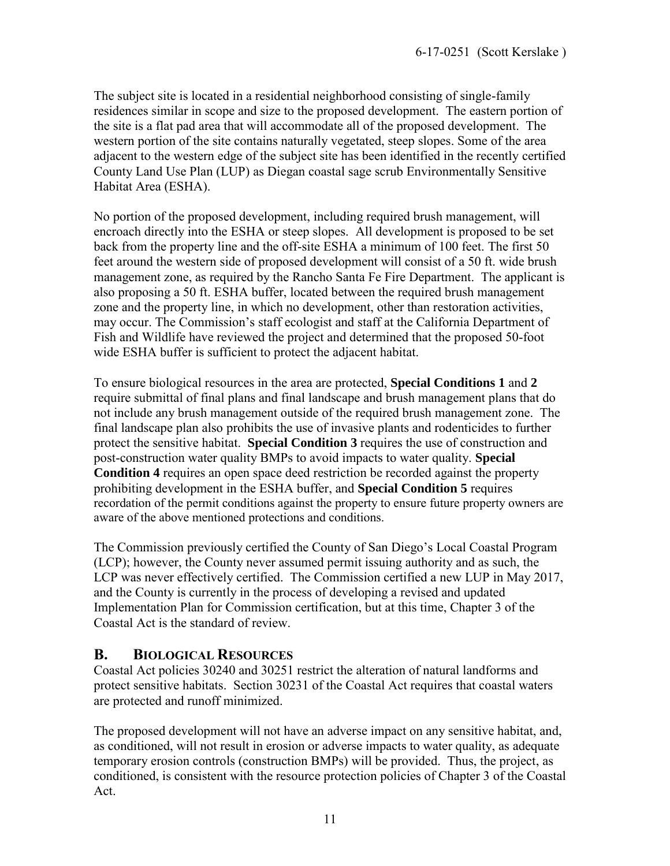The subject site is located in a residential neighborhood consisting of single-family residences similar in scope and size to the proposed development. The eastern portion of the site is a flat pad area that will accommodate all of the proposed development. The western portion of the site contains naturally vegetated, steep slopes. Some of the area adjacent to the western edge of the subject site has been identified in the recently certified County Land Use Plan (LUP) as Diegan coastal sage scrub Environmentally Sensitive Habitat Area (ESHA).

No portion of the proposed development, including required brush management, will encroach directly into the ESHA or steep slopes. All development is proposed to be set back from the property line and the off-site ESHA a minimum of 100 feet. The first 50 feet around the western side of proposed development will consist of a 50 ft. wide brush management zone, as required by the Rancho Santa Fe Fire Department. The applicant is also proposing a 50 ft. ESHA buffer, located between the required brush management zone and the property line, in which no development, other than restoration activities, may occur. The Commission's staff ecologist and staff at the California Department of Fish and Wildlife have reviewed the project and determined that the proposed 50-foot wide ESHA buffer is sufficient to protect the adjacent habitat.

To ensure biological resources in the area are protected, **Special Conditions 1** and **2** require submittal of final plans and final landscape and brush management plans that do not include any brush management outside of the required brush management zone. The final landscape plan also prohibits the use of invasive plants and rodenticides to further protect the sensitive habitat. **Special Condition 3** requires the use of construction and post-construction water quality BMPs to avoid impacts to water quality. **Special Condition 4** requires an open space deed restriction be recorded against the property prohibiting development in the ESHA buffer, and **Special Condition 5** requires recordation of the permit conditions against the property to ensure future property owners are aware of the above mentioned protections and conditions.

The Commission previously certified the County of San Diego's Local Coastal Program (LCP); however, the County never assumed permit issuing authority and as such, the LCP was never effectively certified. The Commission certified a new LUP in May 2017, and the County is currently in the process of developing a revised and updated Implementation Plan for Commission certification, but at this time, Chapter 3 of the Coastal Act is the standard of review.

### <span id="page-10-0"></span>**B. BIOLOGICAL RESOURCES**

Coastal Act policies 30240 and 30251 restrict the alteration of natural landforms and protect sensitive habitats. Section 30231 of the Coastal Act requires that coastal waters are protected and runoff minimized.

The proposed development will not have an adverse impact on any sensitive habitat, and, as conditioned, will not result in erosion or adverse impacts to water quality, as adequate temporary erosion controls (construction BMPs) will be provided. Thus, the project, as conditioned, is consistent with the resource protection policies of Chapter 3 of the Coastal Act.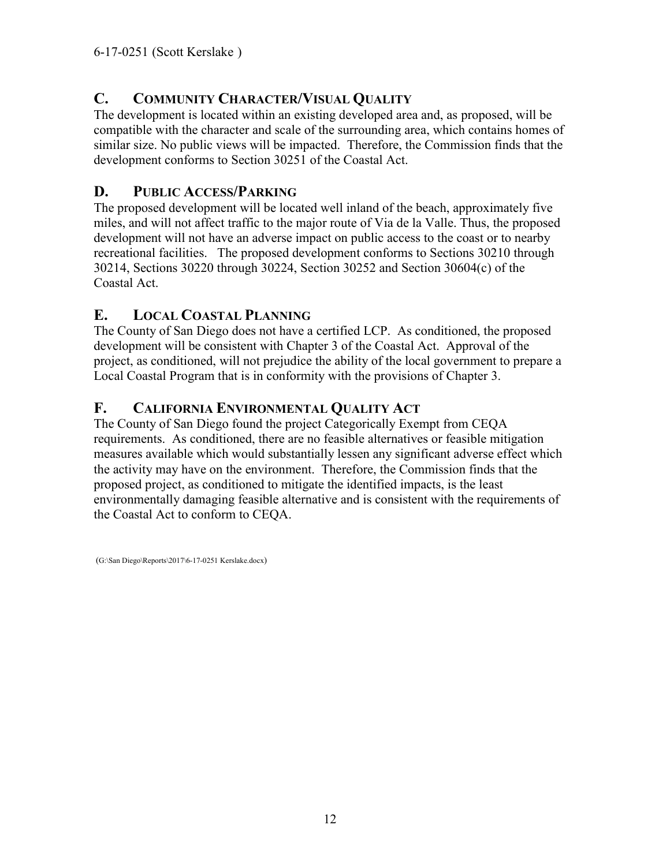# <span id="page-11-0"></span>**C. COMMUNITY CHARACTER/VISUAL QUALITY**

The development is located within an existing developed area and, as proposed, will be compatible with the character and scale of the surrounding area, which contains homes of similar size. No public views will be impacted. Therefore, the Commission finds that the development conforms to Section 30251 of the Coastal Act.

# <span id="page-11-1"></span>**D. PUBLIC ACCESS/PARKING**

The proposed development will be located well inland of the beach, approximately five miles, and will not affect traffic to the major route of Via de la Valle. Thus, the proposed development will not have an adverse impact on public access to the coast or to nearby recreational facilities. The proposed development conforms to Sections 30210 through 30214, Sections 30220 through 30224, Section 30252 and Section 30604(c) of the Coastal Act.

### <span id="page-11-2"></span>**E. LOCAL COASTAL PLANNING**

The County of San Diego does not have a certified LCP. As conditioned, the proposed development will be consistent with Chapter 3 of the Coastal Act. Approval of the project, as conditioned, will not prejudice the ability of the local government to prepare a Local Coastal Program that is in conformity with the provisions of Chapter 3.

### <span id="page-11-3"></span>**F. CALIFORNIA ENVIRONMENTAL QUALITY ACT**

The County of San Diego found the project Categorically Exempt from CEQA requirements. As conditioned, there are no feasible alternatives or feasible mitigation measures available which would substantially lessen any significant adverse effect which the activity may have on the environment. Therefore, the Commission finds that the proposed project, as conditioned to mitigate the identified impacts, is the least environmentally damaging feasible alternative and is consistent with the requirements of the Coastal Act to conform to CEQA.

(G:\San Diego\Reports\2017\6-17-0251 Kerslake.docx)